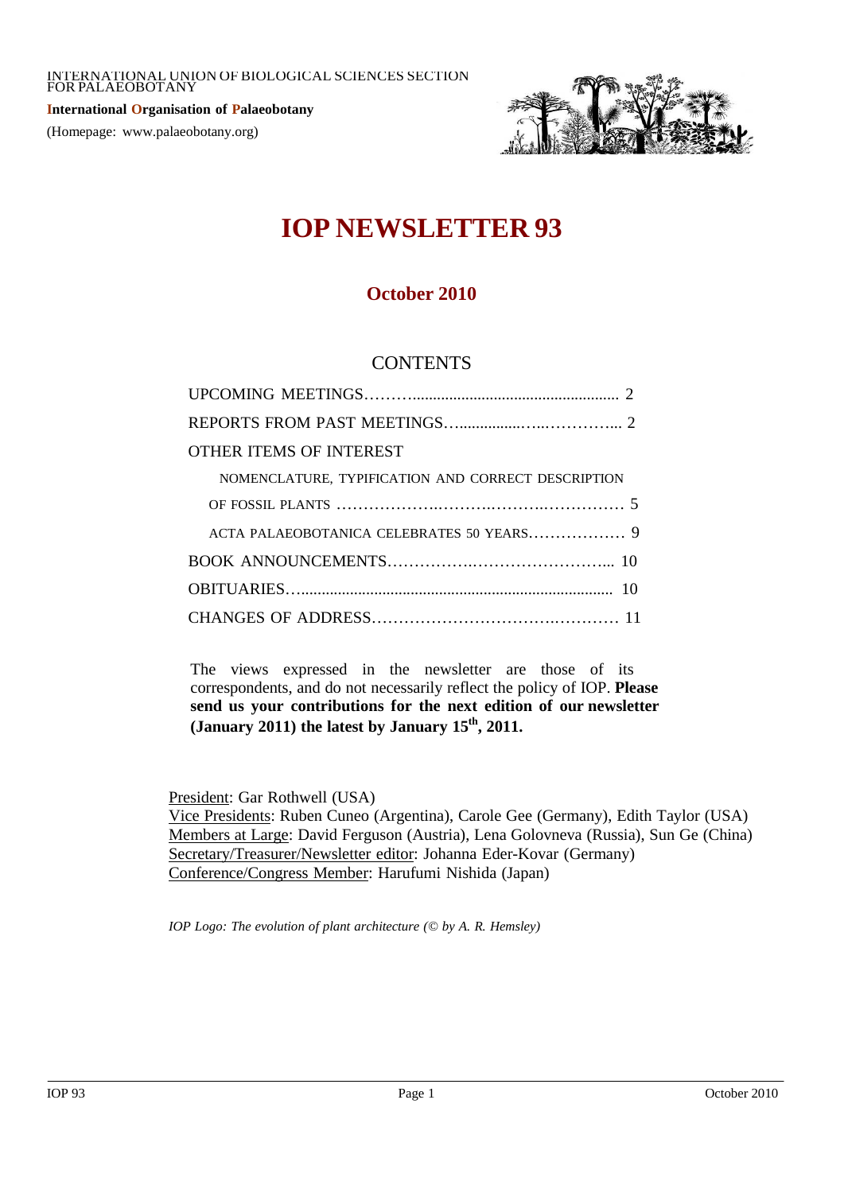**International Organisation of Palaeobotany** (Homepage: www.palaeobotany.org)



# **IOP NEWSLETTER 93**

# **October 2010**

# **CONTENTS**

| OTHER ITEMS OF INTEREST                            |  |
|----------------------------------------------------|--|
| NOMENCLATURE, TYPIFICATION AND CORRECT DESCRIPTION |  |
|                                                    |  |
| ACTA PALAEOBOTANICA CELEBRATES 50 YEARS 9          |  |
|                                                    |  |
|                                                    |  |
|                                                    |  |
|                                                    |  |

The views expressed in the newsletter are those of its correspondents, and do not necessarily reflect the policy of IOP. **Please send us your contributions for the next edition of our newsletter (January 2011) the latest by January 15th , 2011.**

President: Gar Rothwell (USA)

Vice Presidents: Ruben Cuneo (Argentina), Carole Gee (Germany), Edith Taylor (USA) Members at Large: David Ferguson (Austria), Lena Golovneva (Russia), Sun Ge (China) Secretary/Treasurer/Newsletter editor: Johanna Eder-Kovar (Germany) Conference/Congress Member: Harufumi Nishida (Japan)

*IOP Logo: The evolution of plant architecture (© by A. R. Hemsley)*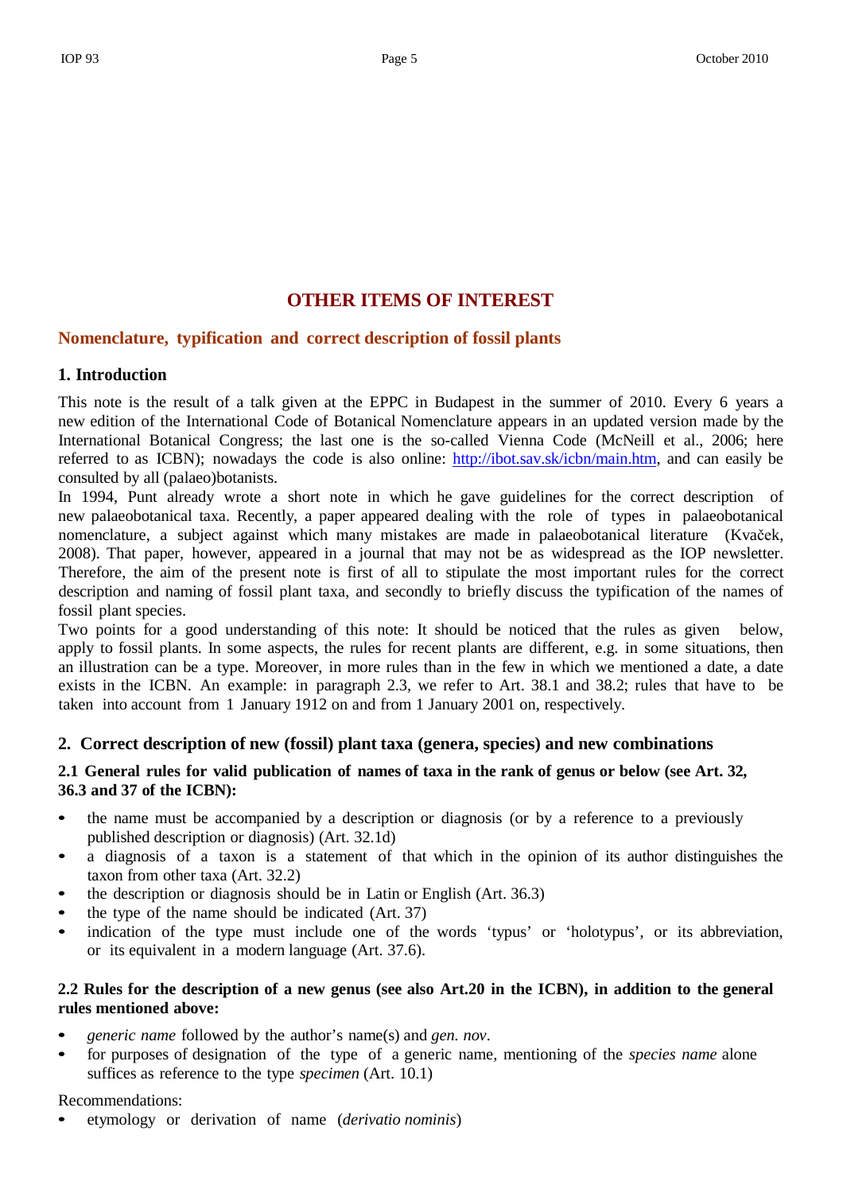## **OTHER ITEMS OF INTEREST**

# **Nomenclature, typification and correct description of fossil plants**

## **1. Introduction**

This note is the result of a talk given at the EPPC in Budapest in the summer of 2010. Every 6 years a new edition of the International Code of Botanical Nomenclature appears in an updated version made by the International Botanical Congress; the last one is the so-called Vienna Code (McNeill et al., 2006; here referred to as ICBN); nowadays the code is also online: [http://ibot.sav.sk/icbn/main.htm,](http://ibot.sav.sk/icbn/main.htm) and can easily be consulted by all (palaeo)botanists.

In 1994, Punt already wrote a short note in which he gave guidelines for the correct description of new palaeobotanical taxa. Recently, a paper appeared dealing with the role of types in palaeobotanical nomenclature, a subject against which many mistakes are made in palaeobotanical literature (Kvaček, 2008). That paper, however, appeared in a journal that may not be as widespread as the IOP newsletter. Therefore, the aim of the present note is first of all to stipulate the most important rules for the correct description and naming of fossil plant taxa, and secondly to briefly discuss the typification of the names of fossil plant species.

Two points for a good understanding of this note: It should be noticed that the rules as given below, apply to fossil plants. In some aspects, the rules for recent plants are different, e.g. in some situations, then an illustration can be a type. Moreover, in more rules than in the few in which we mentioned a date, a date exists in the ICBN. An example: in paragraph 2.3, we refer to Art. 38.1 and 38.2; rules that have to be taken into account from 1 January 1912 on and from 1 January 2001 on, respectively.

## **2. Correct description of new (fossil) plant taxa (genera, species) and new combinations**

## 2.1 General rules for valid publication of names of taxa in the rank of genus or below (see Art. 32, **36.3 and 37 of the ICBN):**

- the name must be accompanied by a description or diagnosis (or by a reference to a previously published description or diagnosis) (Art. 32.1d)
- a diagnosis of a taxon is a statement of that which in the opinion of its author distinguishes the taxon from other taxa (Art. 32.2)
- the description or diagnosis should be in Latin or English (Art. 36.3)
- the type of the name should be indicated (Art. 37)
- indication of the type must include one of the words 'typus' or 'holotypus', or its abbreviation, or its equivalent in a modern language (Art. 37.6).

## 2.2 Rules for the description of a new genus (see also Art. 20 in the ICBN), in addition to the general **rules mentioned above:**

- *generic name* followed by the author's name(s) and *gen. nov*.
- for purposes of designation of the type of a generic name, mentioning of the *species name* alone suffices as reference to the type *specimen* (Art. 10.1)

## Recommendations:

• etymology or derivation of name (*derivatio nominis*)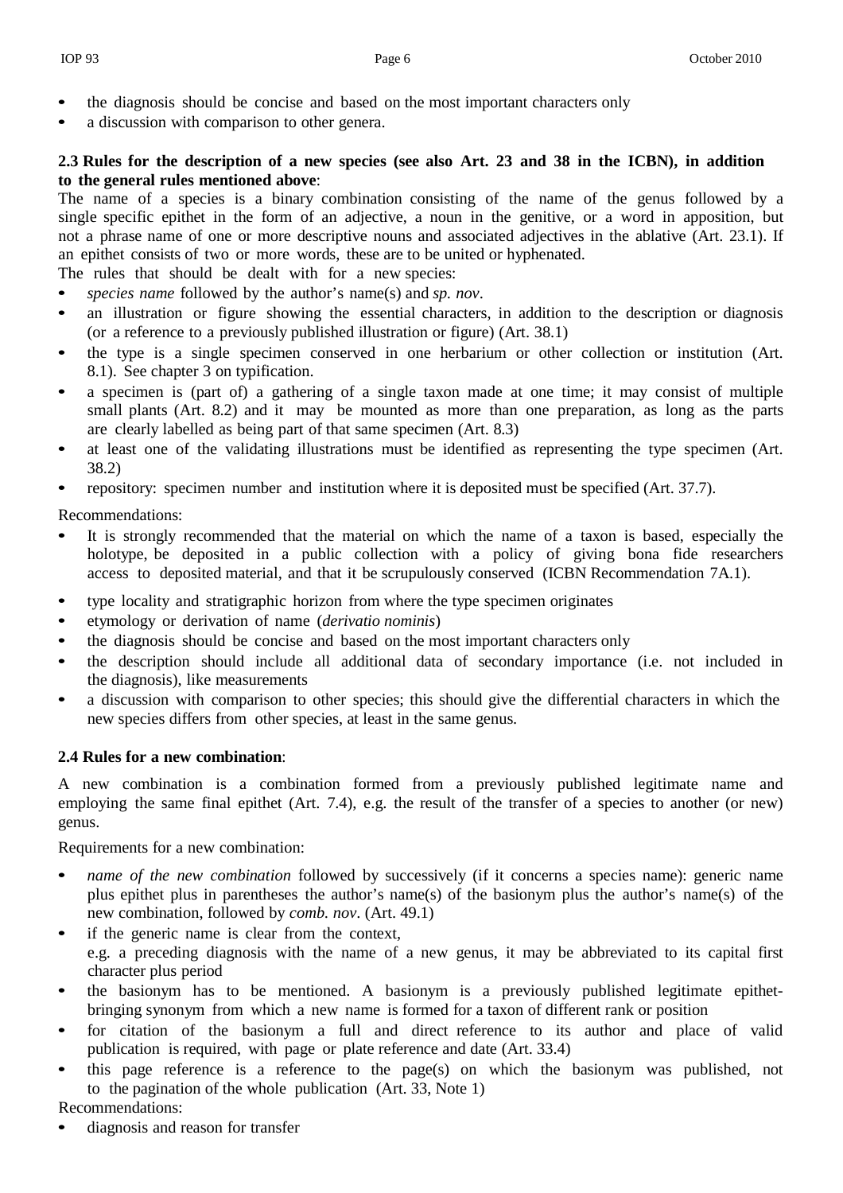- the diagnosis should be concise and based on the most important characters only
- a discussion with comparison to other genera.

#### 2.3 Rules for the description of a new species (see also Art. 23 and 38 in the ICBN), in addition **to the general rules mentioned above**:

The name of a species is a binary combination consisting of the name of the genus followed by a single specific epithet in the form of an adjective, a noun in the genitive, or a word in apposition, but not a phrase name of one or more descriptive nouns and associated adjectives in the ablative (Art. 23.1). If an epithet consists of two or more words, these are to be united or hyphenated.

The rules that should be dealt with for a new species:

- *species name* followed by the author's name(s) and *sp. nov*.
- an illustration or figure showing the essential characters, in addition to the description or diagnosis (or a reference to a previously published illustration or figure) (Art. 38.1)
- the type is a single specimen conserved in one herbarium or other collection or institution (Art. 8.1). See chapter 3 on typification.
- a specimen is (part of) a gathering of a single taxon made at one time; it may consist of multiple small plants (Art. 8.2) and it may be mounted as more than one preparation, as long as the parts are clearly labelled as being part of that same specimen (Art. 8.3)
- at least one of the validating illustrations must be identified as representing the type specimen (Art. 38.2)
- repository: specimen number and institution where it is deposited must be specified (Art. 37.7).

Recommendations:

- It is strongly recommended that the material on which the name of a taxon is based, especially the holotype, be deposited in a public collection with a policy of giving bona fide researchers access to deposited material, and that it be scrupulously conserved (ICBN Recommendation 7A.1).
- type locality and stratigraphic horizon from where the type specimen originates
- etymology or derivation of name (*derivatio nominis*)
- the diagnosis should be concise and based on the most important characters only
- the description should include all additional data of secondary importance (i.e. not included in the diagnosis), like measurements
- a discussion with comparison to other species; this should give the differential characters in which the new species differs from other species, at least in the same genus.

#### **2.4 Rules for a new combination**:

A new combination is a combination formed from a previously published legitimate name and employing the same final epithet (Art. 7.4), e.g. the result of the transfer of a species to another (or new) genus.

Requirements for a new combination:

- *name of the new combination* followed by successively (if it concerns a species name): generic name plus epithet plus in parentheses the author's name(s) of the basionym plus the author's name(s) of the new combination, followed by *comb. nov*. (Art. 49.1)
- if the generic name is clear from the context, e.g. a preceding diagnosis with the name of a new genus, it may be abbreviated to its capital first character plus period
- the basionym has to be mentioned. A basionym is a previously published legitimate epithetbringing synonym from which a new name is formed for a taxon of different rank or position
- for citation of the basionym a full and direct reference to its author and place of valid publication is required, with page or plate reference and date (Art. 33.4)
- this page reference is a reference to the page(s) on which the basionym was published, not to the pagination of the whole publication (Art. 33, Note 1)

Recommendations:

• diagnosis and reason for transfer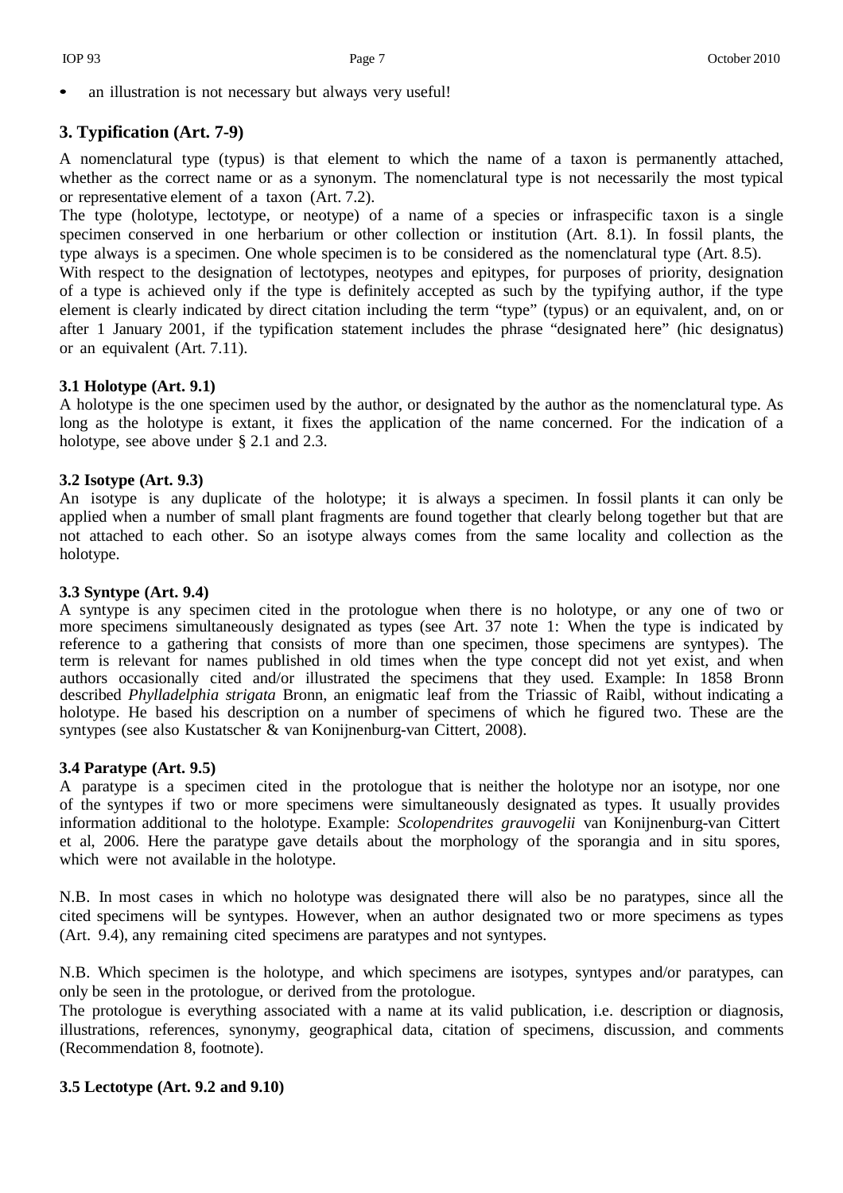an illustration is not necessary but always very useful!

## **3. Typification (Art. 7-9)**

A nomenclatural type (typus) is that element to which the name of a taxon is permanently attached, whether as the correct name or as a synonym. The nomenclatural type is not necessarily the most typical or representative element of a taxon (Art. 7.2).

The type (holotype, lectotype, or neotype) of a name of a species or infraspecific taxon is a single specimen conserved in one herbarium or other collection or institution (Art. 8.1). In fossil plants, the type always is a specimen. One whole specimen is to be considered as the nomenclatural type (Art. 8.5).

With respect to the designation of lectotypes, neotypes and epitypes, for purposes of priority, designation of a type is achieved only if the type is definitely accepted as such by the typifying author, if the type element is clearly indicated by direct citation including the term "type" (typus) or an equivalent, and, on or after 1 January 2001, if the typification statement includes the phrase "designated here" (hic designatus) or an equivalent (Art. 7.11).

#### **3.1 Holotype (Art. 9.1)**

A holotype is the one specimen used by the author, or designated by the author as the nomenclatural type. As long as the holotype is extant, it fixes the application of the name concerned. For the indication of a holotype, see above under § 2.1 and 2.3.

#### **3.2 Isotype (Art. 9.3)**

An isotype is any duplicate of the holotype; it is always a specimen. In fossil plants it can only be applied when a number of small plant fragments are found together that clearly belong together but that are not attached to each other. So an isotype always comes from the same locality and collection as the holotype.

#### **3.3 Syntype (Art. 9.4)**

A syntype is any specimen cited in the protologue when there is no holotype, or any one of two or more specimens simultaneously designated as types (see Art. 37 note 1: When the type is indicated by reference to a gathering that consists of more than one specimen, those specimens are syntypes). The term is relevant for names published in old times when the type concept did not yet exist, and when authors occasionally cited and/or illustrated the specimens that they used. Example: In 1858 Bronn described *Phylladelphia strigata* Bronn, an enigmatic leaf from the Triassic of Raibl, without indicating a holotype. He based his description on a number of specimens of which he figured two. These are the syntypes (see also Kustatscher & van Konijnenburg-van Cittert, 2008).

#### **3.4 Paratype (Art. 9.5)**

A paratype is a specimen cited in the protologue that is neither the holotype nor an isotype, nor one of the syntypes if two or more specimens were simultaneously designated as types. It usually provides information additional to the holotype. Example: *Scolopendrites grauvogelii* van Konijnenburg-van Cittert et al, 2006. Here the paratype gave details about the morphology of the sporangia and in situ spores, which were not available in the holotype.

N.B. In most cases in which no holotype was designated there will also be no paratypes, since all the cited specimens will be syntypes. However, when an author designated two or more specimens as types (Art. 9.4), any remaining cited specimens are paratypes and not syntypes.

N.B. Which specimen is the holotype, and which specimens are isotypes, syntypes and/or paratypes, can only be seen in the protologue, or derived from the protologue.

The protologue is everything associated with a name at its valid publication, i.e. description or diagnosis, illustrations, references, synonymy, geographical data, citation of specimens, discussion, and comments (Recommendation 8, footnote).

#### **3.5 Lectotype (Art. 9.2 and 9.10)**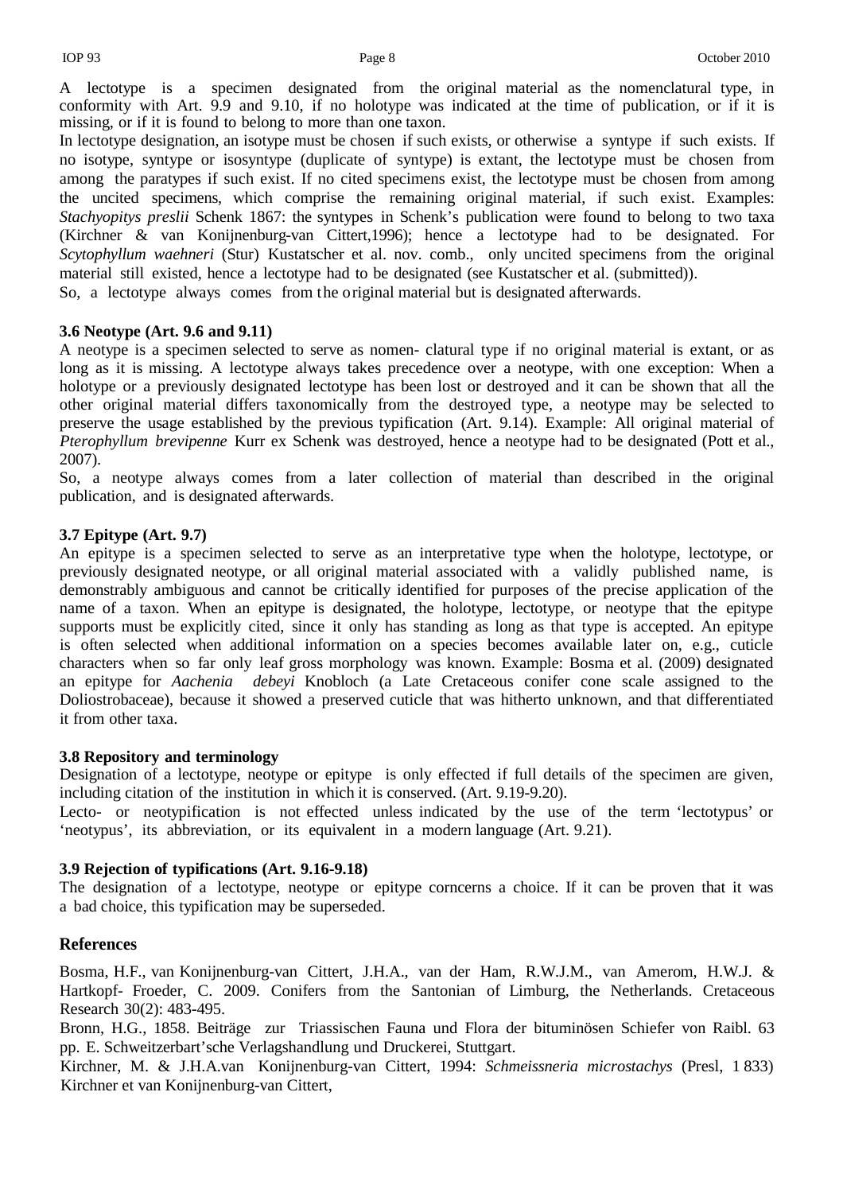A lectotype is a specimen designated from the original material as the nomenclatural type, in conformity with Art. 9.9 and 9.10, if no holotype was indicated at the time of publication, or if it is missing, or if it is found to belong to more than one taxon.

In lectotype designation, an isotype must be chosen if such exists, or otherwise a syntype if such exists. If no isotype, syntype or isosyntype (duplicate of syntype) is extant, the lectotype must be chosen from among the paratypes if such exist. If no cited specimens exist, the lectotype must be chosen from among the uncited specimens, which comprise the remaining original material, if such exist. Examples: *Stachyopitys preslii* Schenk 1867: the syntypes in Schenk's publication were found to belong to two taxa (Kirchner & van Konijnenburg-van Cittert,1996); hence a lectotype had to be designated. For *Scytophyllum waehneri* (Stur) Kustatscher et al. nov. comb., only uncited specimens from the original material still existed, hence a lectotype had to be designated (see Kustatscher et al. (submitted)). So, a lectotype always comes from the original material but is designated afterwards.

#### **3.6 Neotype (Art. 9.6 and 9.11)**

A neotype is a specimen selected to serve as nomen- clatural type if no original material is extant, or as long as it is missing. A lectotype always takes precedence over a neotype, with one exception: When a holotype or a previously designated lectotype has been lost or destroyed and it can be shown that all the other original material differs taxonomically from the destroyed type, a neotype may be selected to preserve the usage established by the previous typification (Art. 9.14). Example: All original material of *Pterophyllum brevipenne* Kurr ex Schenk was destroyed, hence a neotype had to be designated (Pott et al., 2007).

So, a neotype always comes from a later collection of material than described in the original publication, and is designated afterwards.

#### **3.7 Epitype (Art. 9.7)**

An epitype is a specimen selected to serve as an interpretative type when the holotype, lectotype, or previously designated neotype, or all original material associated with a validly published name, is demonstrably ambiguous and cannot be critically identified for purposes of the precise application of the name of a taxon. When an epitype is designated, the holotype, lectotype, or neotype that the epitype supports must be explicitly cited, since it only has standing as long as that type is accepted. An epitype is often selected when additional information on a species becomes available later on, e.g., cuticle characters when so far only leaf gross morphology was known. Example: Bosma et al. (2009) designated an epitype for *Aachenia debeyi* Knobloch (a Late Cretaceous conifer cone scale assigned to the Doliostrobaceae), because it showed a preserved cuticle that was hitherto unknown, and that differentiated it from other taxa.

#### **3.8 Repository and terminology**

Designation of a lectotype, neotype or epitype is only effected if full details of the specimen are given, including citation of the institution in which it is conserved. (Art. 9.19-9.20).

Lecto- or neotypification is not effected unless indicated by the use of the term 'lectotypus' or 'neotypus', its abbreviation, or its equivalent in a modern language (Art. 9.21).

#### **3.9 Rejection of typifications (Art. 9.16-9.18)**

The designation of a lectotype, neotype or epitype corncerns a choice. If it can be proven that it was a bad choice, this typification may be superseded.

#### **References**

Bosma, H.F., van Konijnenburg-van Cittert, J.H.A., van der Ham, R.W.J.M., van Amerom, H.W.J. & Hartkopf- Froeder, C. 2009. Conifers from the Santonian of Limburg, the Netherlands. Cretaceous Research 30(2): 483-495.

Bronn, H.G., 1858. Beiträge zur Triassischen Fauna und Flora der bituminösen Schiefer von Raibl. 63 pp. E. Schweitzerbart'sche Verlagshandlung und Druckerei, Stuttgart.

Kirchner, M. & J.H.A.van Konijnenburg-van Cittert, 1994: *Schmeissneria microstachys* (Presl, 1 833) Kirchner et van Konijnenburg-van Cittert,